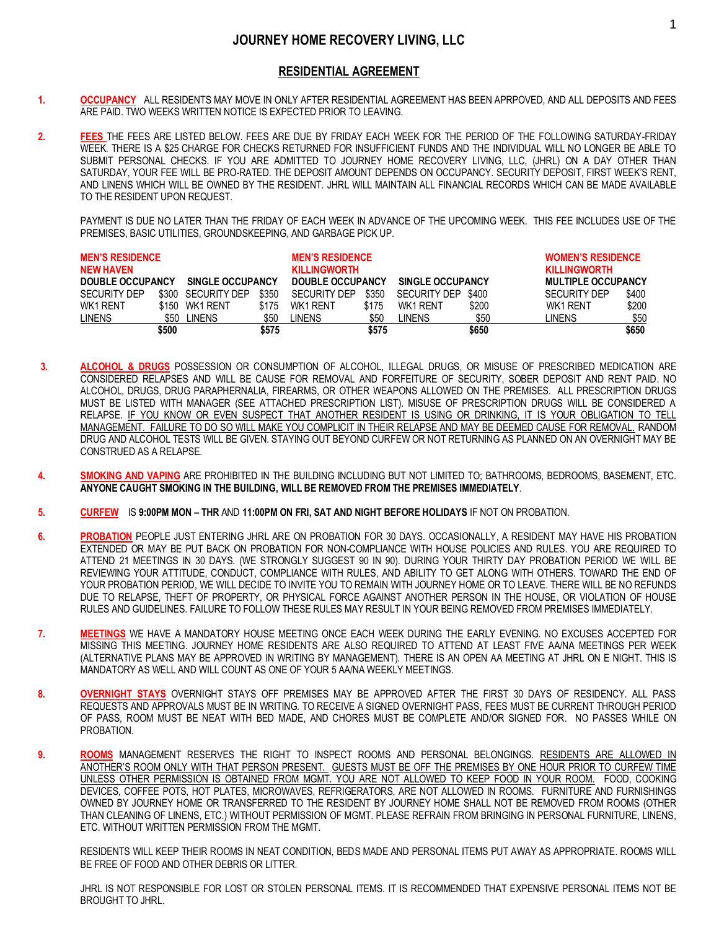## **RESIDENTIAL AGREEMENT**

- **1. OCCUPANCY** ALL RESIDENTS MAY MOVE IN ONLY AFTER RESIDENTIAL AGREEMENT HAS BEEN APRPOVED, AND ALL DEPOSITS AND FEES ARE PAID. TWO WEEKS WRITTEN NOTICE IS EXPECTED PRIOR TO LEAVING.
- **2. FEES** THE FEES ARE LISTED BELOW. FEES ARE DUE BY FRIDAY EACH WEEK FOR THE PERIOD OF THE FOLLOWING SATURDAY-FRIDAY WEEK. THERE IS A \$25 CHARGE FOR CHECKS RETURNED FOR INSUFFICIENT FUNDS AND THE INDIVIDUAL WILL NO LONGER BE ABLE TO SUBMIT PERSONAL CHECKS. IF YOU ARE ADMITTED TO JOURNEY HOME RECOVERY LIVING, LLC, (JHRL) ON A DAY OTHER THAN SATURDAY, YOUR FEE WILL BE PRO-RATED. THE DEPOSIT AMOUNT DEPENDS ON OCCUPANCY. SECURITY DEPOSIT, FIRST WEEK'S RENT, AND LINENS WHICH WILL BE OWNED BY THE RESIDENT. JHRL WILL MAINTAIN ALL FINANCIAL RECORDS WHICH CAN BE MADE AVAILABLE TO THE RESIDENT UPON REQUEST.

PAYMENT IS DUE NO LATER THAN THE FRIDAY OF EACH WEEK IN ADVANCE OF THE UPCOMING WEEK. THIS FEE INCLUDES USE OF THE PREMISES, BASIC UTILITIES, GROUNDSKEEPING, AND GARBAGE PICK UP.

| <b>MEN'S RESIDENCE</b><br><b>NEW HAVEN</b><br>DOUBLE OCCUPANCY |       | <b>SINGLE OCCUPANCY</b> |       | <b>MEN'S RESIDENCE</b><br><b>KILLINGWORTH</b><br>DOUBLE OCCUPANCY |       | <b>SINGLE OCCUPANCY</b> |       | <b>WOMEN'S RESIDENCE</b><br><b>KILLINGWORTH</b><br><b>MULTIPLE OCCUPANCY</b> |       |
|----------------------------------------------------------------|-------|-------------------------|-------|-------------------------------------------------------------------|-------|-------------------------|-------|------------------------------------------------------------------------------|-------|
| <b>SECURITY DEP</b>                                            |       | \$300 SECURITY DEP      | \$350 | <b>SECURITY DEP</b>                                               | \$350 | <b>SECURITY DEP</b>     | \$400 | <b>SECURITY DEP</b>                                                          | \$400 |
| WK1 RENT                                                       |       | \$150 WK1 RENT          | \$175 | WK1 RFNT                                                          | \$175 | WK1 RENT                | \$200 | WK1 RENT                                                                     | \$200 |
| <b>LINENS</b>                                                  | \$50  | LINENS .                | \$50  | LINENS                                                            | \$50  | LINENS                  | \$50  | LINENS                                                                       | \$50  |
|                                                                | \$500 |                         | \$575 |                                                                   | \$575 |                         | \$650 |                                                                              | \$650 |

- **3. ALCOHOL & DRUGS** POSSESSION OR CONSUMPTION OF ALCOHOL, ILLEGAL DRUGS, OR MISUSE OF PRESCRIBED MEDICATION ARE CONSIDERED RELAPSES AND WILL BE CAUSE FOR REMOVAL AND FORFEITURE OF SECURITY, SOBER DEPOSIT AND RENT PAID. NO ALCOHOL, DRUGS, DRUG PARAPHERNALIA, FIREARMS, OR OTHER WEAPONS ALLOWED ON THE PREMISES. ALL PRESCRIPTION DRUGS MUST BE LISTED WITH MANAGER (SEE ATTACHED PRESCRIPTION LIST). MISUSE OF PRESCRIPTION DRUGS WILL BE CONSIDERED A RELAPSE. IF YOU KNOW OR EVEN SUSPECT THAT ANOTHER RESIDENT IS USING OR DRINKING, IT IS YOUR OBLIGATION TO TELL MANAGEMENT. FAILURE TO DO SO WILL MAKE YOU COMPLICIT IN THEIR RELAPSE AND MAY BE DEEMED CAUSE FOR REMOVAL. RANDOM DRUG AND ALCOHOL TESTS WILL BE GIVEN. STAYING OUT BEYOND CURFEW OR NOT RETURNING AS PLANNED ON AN OVERNIGHT MAY BE CONSTRUED AS A RELAPSE.
- **4. SMOKING AND VAPING** ARE PROHIBITED IN THE BUILDING INCLUDING BUT NOT LIMITED TO; BATHROOMS, BEDROOMS, BASEMENT, ETC. **ANYONE CAUGHT SMOKING IN THE BUILDING, WILL BE REMOVED FROM THE PREMISES IMMEDIATELY**.
- **5. CURFEW** IS **9:00PM MON – THR** AND **11:00PM ON FRI, SAT AND NIGHT BEFORE HOLIDAYS** IF NOT ON PROBATION.
- **6. PROBATION** PEOPLE JUST ENTERING JHRL ARE ON PROBATION FOR 30 DAYS. OCCASIONALLY, A RESIDENT MAY HAVE HIS PROBATION EXTENDED OR MAY BE PUT BACK ON PROBATION FOR NON-COMPLIANCE WITH HOUSE POLICIES AND RULES. YOU ARE REQUIRED TO ATTEND 21 MEETINGS IN 30 DAYS. (WE STRONGLY SUGGEST 90 IN 90). DURING YOUR THIRTY DAY PROBATION PERIOD WE WILL BE REVIEWING YOUR ATTITUDE, CONDUCT, COMPLIANCE WITH RULES, AND ABILITY TO GET ALONG WITH OTHERS. TOWARD THE END OF YOUR PROBATION PERIOD, WE WILL DECIDE TO INVITE YOU TO REMAIN WITH JOURNEY HOME OR TO LEAVE. THERE WILL BE NO REFUNDS DUE TO RELAPSE, THEFT OF PROPERTY, OR PHYSICAL FORCE AGAINST ANOTHER PERSON IN THE HOUSE, OR VIOLATION OF HOUSE RULES AND GUIDELINES. FAILURE TO FOLLOW THESE RULES MAY RESULT IN YOUR BEING REMOVED FROM PREMISES IMMEDIATELY.
- **7. MEETINGS** WE HAVE A MANDATORY HOUSE MEETING ONCE EACH WEEK DURING THE EARLY EVENING. NO EXCUSES ACCEPTED FOR MISSING THIS MEETING. JOURNEY HOME RESIDENTS ARE ALSO REQUIRED TO ATTEND AT LEAST FIVE AA/NA MEETINGS PER WEEK (ALTERNATIVE PLANS MAY BE APPROVED IN WRITING BY MANAGEMENT). THERE IS AN OPEN AA MEETING AT JHRL ON E NIGHT. THIS IS MANDATORY AS WELL AND WILL COUNT AS ONE OF YOUR 5 AA/NA WEEKLY MEETINGS.
- **8. OVERNIGHT STAYS** OVERNIGHT STAYS OFF PREMISES MAY BE APPROVED AFTER THE FIRST 30 DAYS OF RESIDENCY. ALL PASS REQUESTS AND APPROVALS MUST BE IN WRITING. TO RECEIVE A SIGNED OVERNIGHT PASS, FEES MUST BE CURRENT THROUGH PERIOD OF PASS, ROOM MUST BE NEAT WITH BED MADE, AND CHORES MUST BE COMPLETE AND/OR SIGNED FOR. NO PASSES WHILE ON PROBATION.
- **9. ROOMS** MANAGEMENT RESERVES THE RIGHT TO INSPECT ROOMS AND PERSONAL BELONGINGS. RESIDENTS ARE ALLOWED IN ANOTHER'S ROOM ONLY WITH THAT PERSON PRESENT. GUESTS MUST BE OFF THE PREMISES BY ONE HOUR PRIOR TO CURFEW TIME UNLESS OTHER PERMISSION IS OBTAINED FROM MGMT. YOU ARE NOT ALLOWED TO KEEP FOOD IN YOUR ROOM. FOOD, COOKING DEVICES, COFFEE POTS, HOT PLATES, MICROWAVES, REFRIGERATORS, ARE NOT ALLOWED IN ROOMS. FURNITURE AND FURNISHINGS OWNED BY JOURNEY HOME OR TRANSFERRED TO THE RESIDENT BY JOURNEY HOME SHALL NOT BE REMOVED FROM ROOMS (OTHER THAN CLEANING OF LINENS, ETC.) WITHOUT PERMISSION OF MGMT. PLEASE REFRAIN FROM BRINGING IN PERSONAL FURNITURE, LINENS, ETC. WITHOUT WRITTEN PERMISSION FROM THE MGMT.

RESIDENTS WILL KEEP THEIR ROOMS IN NEAT CONDITION, BEDS MADE AND PERSONAL ITEMS PUT AWAY AS APPROPRIATE. ROOMS WILL BE FREE OF FOOD AND OTHER DEBRIS OR LITTER.